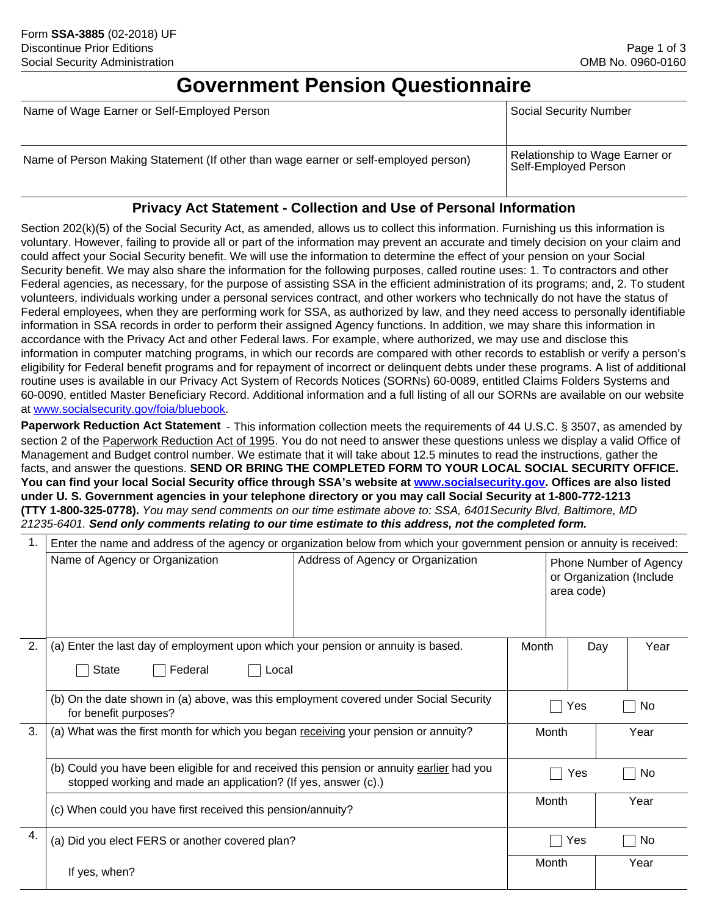## **Government Pension Questionnaire**

| Name of Wage Earner or Self-Employed Person                                         | <b>Social Security Number</b>                          |
|-------------------------------------------------------------------------------------|--------------------------------------------------------|
| Name of Person Making Statement (If other than wage earner or self-employed person) | Relationship to Wage Earner or<br>Self-Employed Person |

## **Privacy Act Statement - Collection and Use of Personal Information**

Section 202(k)(5) of the Social Security Act, as amended, allows us to collect this information. Furnishing us this information is voluntary. However, failing to provide all or part of the information may prevent an accurate and timely decision on your claim and could affect your Social Security benefit. We will use the information to determine the effect of your pension on your Social Security benefit. We may also share the information for the following purposes, called routine uses: 1. To contractors and other Federal agencies, as necessary, for the purpose of assisting SSA in the efficient administration of its programs; and, 2. To student volunteers, individuals working under a personal services contract, and other workers who technically do not have the status of Federal employees, when they are performing work for SSA, as authorized by law, and they need access to personally identifiable information in SSA records in order to perform their assigned Agency functions. In addition, we may share this information in accordance with the Privacy Act and other Federal laws. For example, where authorized, we may use and disclose this information in computer matching programs, in which our records are compared with other records to establish or verify a person's eligibility for Federal benefit programs and for repayment of incorrect or delinquent debts under these programs. A list of additional routine uses is available in our Privacy Act System of Records Notices (SORNs) 60-0089, entitled Claims Folders Systems and 60-0090, entitled Master Beneficiary Record. Additional information and a full listing of all our SORNs are available on our website at www.socialsecurity.gov/foia/bluebook.

**Paperwork Reduction Act Statement** - This information collection meets the requirements of 44 U.S.C. § 3507, as amended by section 2 of the Paperwork Reduction Act of 1995. You do not need to answer these questions unless we display a valid Office of Management and Budget control number. We estimate that it will take about 12.5 minutes to read the instructions, gather the facts, and answer the questions. **SEND OR BRING THE COMPLETED FORM TO YOUR LOCAL SOCIAL SECURITY OFFICE. You can find your local Social Security office through SSA's website at www.socialsecurity.gov. Offices are also listed under U. S. Government agencies in your telephone directory or you may call Social Security at 1-800-772-1213 (TTY 1-800-325-0778).** *You may send comments on our time estimate above to: SSA, 6401Security Blvd, Baltimore, MD 21235-6401. Send only comments relating to our time estimate to this address, not the completed form.*

| 1. | Enter the name and address of the agency or organization below from which your government pension or annuity is received:                                   |                                                                                                       |            |            |     |      |  |
|----|-------------------------------------------------------------------------------------------------------------------------------------------------------------|-------------------------------------------------------------------------------------------------------|------------|------------|-----|------|--|
|    | Name of Agency or Organization                                                                                                                              | Address of Agency or Organization<br>Phone Number of Agency<br>or Organization (Include<br>area code) |            |            |     |      |  |
| 2. | (a) Enter the last day of employment upon which your pension or annuity is based.                                                                           |                                                                                                       | Month      |            | Day | Year |  |
|    | Federal<br><b>State</b><br>Local                                                                                                                            |                                                                                                       |            |            |     |      |  |
|    | (b) On the date shown in (a) above, was this employment covered under Social Security<br>for benefit purposes?                                              |                                                                                                       | Yes<br>No. |            |     |      |  |
| 3. | (a) What was the first month for which you began receiving your pension or annuity?                                                                         |                                                                                                       | Month      |            |     | Year |  |
|    | (b) Could you have been eligible for and received this pension or annuity earlier had you<br>stopped working and made an application? (If yes, answer (c).) |                                                                                                       |            | Yes<br>No. |     |      |  |
|    | (c) When could you have first received this pension/annuity?                                                                                                |                                                                                                       |            | Month      |     | Year |  |
| 4. | (a) Did you elect FERS or another covered plan?                                                                                                             |                                                                                                       |            | Yes        |     | No   |  |
|    | If yes, when?                                                                                                                                               |                                                                                                       | Month      |            |     | Year |  |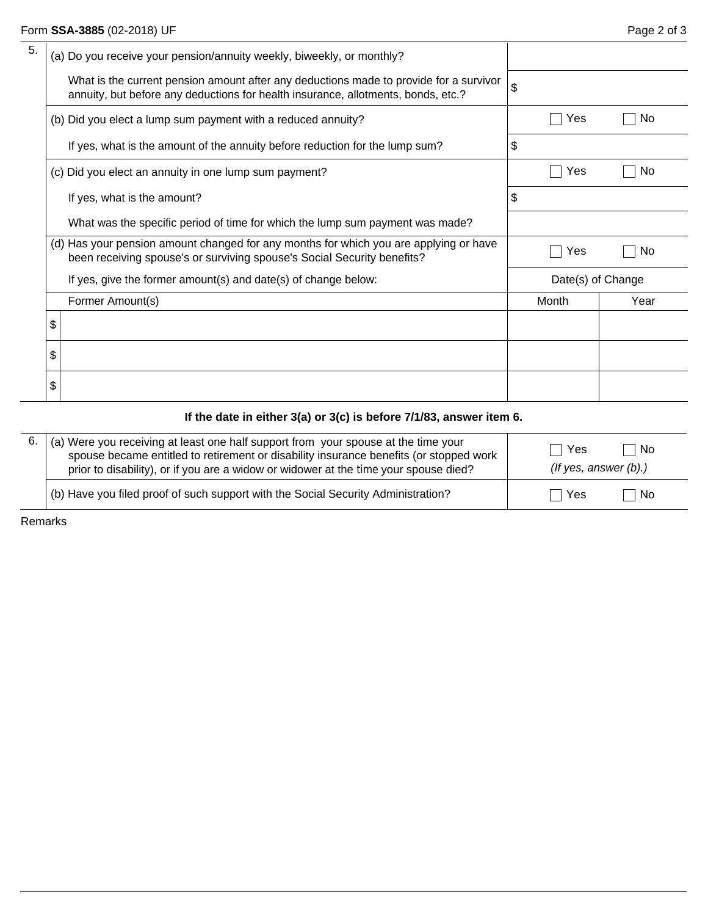| (a) Do you receive your pension/annuity weekly, biweekly, or monthly?                                                                                                       |                   |       |           |
|-----------------------------------------------------------------------------------------------------------------------------------------------------------------------------|-------------------|-------|-----------|
| What is the current pension amount after any deductions made to provide for a survivor<br>annuity, but before any deductions for health insurance, allotments, bonds, etc.? | \$                |       |           |
| (b) Did you elect a lump sum payment with a reduced annuity?                                                                                                                |                   | Yes   | <b>No</b> |
| If yes, what is the amount of the annuity before reduction for the lump sum?                                                                                                | \$                |       |           |
| (c) Did you elect an annuity in one lump sum payment?                                                                                                                       |                   | Yes   | <b>No</b> |
| If yes, what is the amount?                                                                                                                                                 | \$                |       |           |
| What was the specific period of time for which the lump sum payment was made?                                                                                               |                   |       |           |
| (d) Has your pension amount changed for any months for which you are applying or have<br>been receiving spouse's or surviving spouse's Social Security benefits?            |                   | Yes   | <b>No</b> |
| If yes, give the former amount(s) and date(s) of change below:                                                                                                              | Date(s) of Change |       |           |
| Former Amount(s)                                                                                                                                                            |                   | Month | Year      |
| \$                                                                                                                                                                          |                   |       |           |
| \$                                                                                                                                                                          |                   |       |           |
| \$                                                                                                                                                                          |                   |       |           |
| If the date in either $3(a)$ or $3(c)$ is before $7/1/83$ , answer item 6.                                                                                                  |                   |       |           |

| 6. | (a) Were you receiving at least one half support from your spouse at the time your<br>spouse became entitled to retirement or disability insurance benefits (or stopped work<br>prior to disability), or if you are a widow or widower at the time your spouse died? | <b>No</b><br>Yes<br>(If yes, answer $(b)$ .) |
|----|----------------------------------------------------------------------------------------------------------------------------------------------------------------------------------------------------------------------------------------------------------------------|----------------------------------------------|
|    | (b) Have you filed proof of such support with the Social Security Administration?                                                                                                                                                                                    | Yes<br>-No                                   |

Remarks

 $\overline{a}$